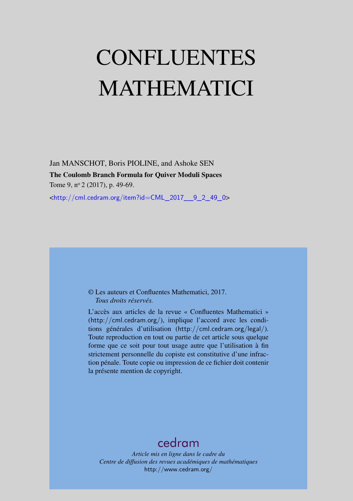# CONFLUENTES MATHEMATICI

Jan MANSCHOT, Boris PIOLINE, and Ashoke SEN The Coulomb Branch Formula for Quiver Moduli Spaces Tome 9, nº 2 (2017), p. 49-69.

<[http://cml.cedram.org/item?id=CML\\_2017\\_\\_9\\_2\\_49\\_0](http://cml.cedram.org/item?id=CML_2017__9_2_49_0)>

# © Les auteurs et Confluentes Mathematici, 2017. *Tous droits réservés.*

L'accès aux articles de la revue « Confluentes Mathematici » (<http://cml.cedram.org/>), implique l'accord avec les conditions générales d'utilisation (<http://cml.cedram.org/legal/>). Toute reproduction en tout ou partie de cet article sous quelque forme que ce soit pour tout usage autre que l'utilisation à fin strictement personnelle du copiste est constitutive d'une infraction pénale. Toute copie ou impression de ce fichier doit contenir la présente mention de copyright.

# [cedram](http://www.cedram.org/)

*Article mis en ligne dans le cadre du Centre de diffusion des revues académiques de mathématiques* <http://www.cedram.org/>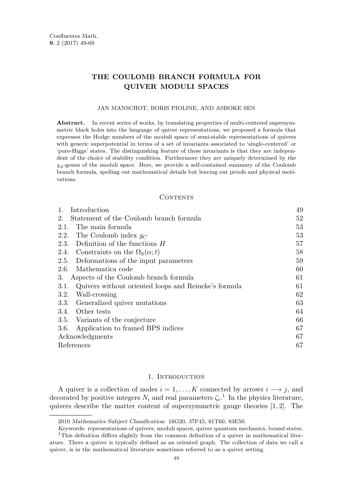# **THE COULOMB BRANCH FORMULA FOR QUIVER MODULI SPACES**

#### JAN MANSCHOT, BORIS PIOLINE, AND ASHOKE SEN

Abstract. In recent series of works, by translating properties of multi-centered supersymmetric black holes into the language of quiver representations, we proposed a formula that expresses the Hodge numbers of the moduli space of semi-stable representations of quivers with generic superpotential in terms of a set of invariants associated to 'single-centered' or 'pure-Higgs' states. The distinguishing feature of these invariants is that they are independent of the choice of stability condition. Furthermore they are uniquely determined by the *χy*-genus of the moduli space. Here, we provide a self-contained summary of the Coulomb branch formula, spelling out mathematical details but leaving out proofs and physical motivations.

### CONTENTS

| Introduction                                                 | 49 |
|--------------------------------------------------------------|----|
| Statement of the Coulomb branch formula<br>2.                | 52 |
| The main formula<br>2.1.                                     | 53 |
| 2.2. The Coulomb index $g_C$                                 | 53 |
| 2.3. Definition of the functions $H$                         | 57 |
| 2.4. Constraints on the $\Omega_{\rm S}(\alpha;t)$           | 58 |
| 2.5. Deformations of the input parameters                    | 59 |
| Mathematica code<br>2.6.                                     | 60 |
| 3.<br>Aspects of the Coulomb branch formula                  | 61 |
| Quivers without oriented loops and Reineke's formula<br>3.1. | 61 |
| Wall-crossing<br>3.2.                                        | 62 |
| 3.3. Generalized quiver mutations                            | 63 |
| 3.4. Other tests                                             | 64 |
| 3.5. Variants of the conjecture                              | 66 |
| Application to framed BPS indices<br>3.6.                    | 67 |
| Acknowledgments                                              | 67 |
| References                                                   | 67 |
|                                                              |    |

# 1. INTRODUCTION

<span id="page-1-0"></span>A quiver is a collection of nodes  $i = 1, \ldots, K$  connected by arrows  $i \longrightarrow j$ , and decorated by positive integers  $N_i$  and real parameters  $\zeta_i$ <sup>1</sup>. In the physics literature, quivers describe the matter content of supersymmetric gauge theories [\[1,](#page-19-3) [2\]](#page-20-0). The

<sup>2010</sup> Mathematics Subject Classification: 16G20, 37P45, 81T60, 83E50.

Keywords: representations of quivers, moduli spaces, quiver quantum mechanics, bound states.

<sup>&</sup>lt;sup>1</sup>This definition differs slightly from the common definition of a quiver in mathematical literature. There a quiver is typically defined as an oriented graph. The collection of data we call a quiver, is in the mathematical literature sometimes referred to as a quiver setting.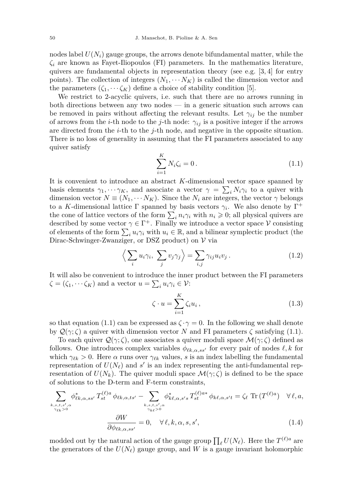nodes label  $U(N_i)$  gauge groups, the arrows denote bifundamental matter, while the *ζ<sup>i</sup>* are known as Fayet-Iliopoulos (FI) parameters. In the mathematics literature, quivers are fundamental objects in representation theory (see e.g. [\[3,](#page-20-1) [4\]](#page-20-2) for entry points). The collection of integers  $(N_1, \cdots N_K)$  is called the dimension vector and the parameters  $(\zeta_1, \dots, \zeta_K)$  define a choice of stability condition [\[5\]](#page-20-3).

We restrict to 2-acyclic quivers, i.e. such that there are no arrows running in both directions between any two nodes — in a generic situation such arrows can be removed in pairs without affecting the relevant results. Let  $\gamma_{ij}$  be the number of arrows from the *i*-th node to the *j*-th node:  $\gamma_{ij}$  is a positive integer if the arrows are directed from the *i*-th to the *j*-th node, and negative in the opposite situation. There is no loss of generality in assuming that the FI parameters associated to any quiver satisfy

<span id="page-2-0"></span>
$$
\sum_{i=1}^{K} N_i \zeta_i = 0.
$$
\n(1.1)

It is convenient to introduce an abstract *K*-dimensional vector space spanned by basis elements  $\gamma_1, \dots, \gamma_K$ , and associate a vector  $\gamma = \sum_i N_i \gamma_i$  to a quiver with dimension vector  $N \equiv (N_1, \cdots N_K)$ . Since the  $N_i$  are integers, the vector  $\gamma$  belongs to a *K*-dimensional lattice  $\Gamma$  spanned by basis vectors  $\gamma_i$ . We also denote by  $\Gamma^+$ the cone of lattice vectors of the form  $\sum_{i} n_i \gamma_i$  with  $n_i \geqslant 0$ ; all physical quivers are described by some vector  $\gamma \in \Gamma^+$ . Finally we introduce a vector space V consisting of elements of the form  $\sum_i u_i \gamma_i$  with  $u_i \in \mathbb{R}$ , and a bilinear symplectic product (the Dirac-Schwinger-Zwanziger, or DSZ product) on  $V$  via

<span id="page-2-2"></span>
$$
\left\langle \sum_{i} u_i \gamma_i, \sum_{j} v_j \gamma_j \right\rangle = \sum_{i,j} \gamma_{ij} u_i v_j. \tag{1.2}
$$

It will also be convenient to introduce the inner product between the FI parameters  $\zeta = (\zeta_1, \dots \zeta_K)$  and a vector  $u = \sum_i u_i \gamma_i \in \mathcal{V}$ :

<span id="page-2-1"></span>
$$
\zeta \cdot u = \sum_{i=1}^{K} \zeta_i u_i, \qquad (1.3)
$$

so that equation [\(1.1\)](#page-2-0) can be expressed as  $\zeta \cdot \gamma = 0$ . In the following we shall denote by  $\mathcal{Q}(\gamma;\zeta)$  a quiver with dimension vector *N* and FI parameters  $\zeta$  satisfying [\(1.1\)](#page-2-0).

To each quiver  $\mathcal{Q}(\gamma;\zeta)$ , one associates a quiver moduli space  $\mathcal{M}(\gamma;\zeta)$  defined as follows. One introduces complex variables  $\phi_{\ell k, \alpha, ss'}$  for every pair of nodes  $\ell, k$  for which  $\gamma_{\ell k} > 0$ . Here  $\alpha$  runs over  $\gamma_{\ell k}$  values, *s* is an index labelling the fundamental representation of  $U(N_\ell)$  and  $s'$  is an index representing the anti-fundamental representation of  $U(N_k)$ . The quiver moduli space  $\mathcal{M}(\gamma;\zeta)$  is defined to be the space of solutions to the D-term and F-term constraints,

$$
\sum_{k,s,t,s',\alpha \atop \gamma_{\ell k} > 0} \phi_{\ell k,\alpha,ss'}^* T_{st}^{(\ell)a} \phi_{\ell k,\alpha,ts'} - \sum_{k,s,t,s',\alpha \atop \gamma_{k\ell} > 0} \phi_{k\ell,\alpha,s's}^* T_{st}^{(\ell)a*} \phi_{k\ell,\alpha,s't} = \zeta_{\ell} \operatorname{Tr} (T^{(\ell)a}) \quad \forall \ell,a,
$$
  

$$
\frac{\partial W}{\partial \phi_{\ell k,\alpha,ss'}} = 0, \quad \forall \ell,k,\alpha,s,s',
$$
 (1.4)

modded out by the natural action of the gauge group  $\prod_{\ell} U(N_{\ell})$ . Here the  $T^{(\ell)a}$  are the generators of the  $U(N_\ell)$  gauge group, and W is a gauge invariant holomorphic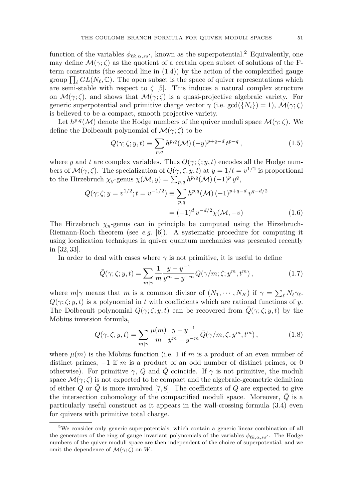function of the variables  $\phi_{\ell k, \alpha, ss'}$ , known as the superpotential.<sup>2</sup> Equivalently, one may define  $\mathcal{M}(\gamma;\zeta)$  as the quotient of a certain open subset of solutions of the Fterm constraints (the second line in  $(1.4)$ ) by the action of the complexified gauge group  $\prod_{\ell} GL(N_{\ell}, \mathbb{C})$ . The open subset is the space of quiver representations which are semi-stable with respect to  $\zeta$  [\[5\]](#page-20-3). This induces a natural complex structure on  $\mathcal{M}(\gamma;\zeta)$ , and shows that  $\mathcal{M}(\gamma;\zeta)$  is a quasi-projective algebraic variety. For generic superpotential and primitive charge vector  $\gamma$  (i.e. gcd( $\{N_i\}$ ) = 1),  $\mathcal{M}(\gamma;\zeta)$ is believed to be a compact, smooth projective variety.

Let  $h^{p,q}(\mathcal{M})$  denote the Hodge numbers of the quiver moduli space  $\mathcal{M}(\gamma;\zeta)$ . We define the Dolbeault polynomial of  $\mathcal{M}(\gamma;\zeta)$  to be

<span id="page-3-3"></span><span id="page-3-2"></span>
$$
Q(\gamma;\zeta;y,t) \equiv \sum_{p,q} h^{p,q}(\mathcal{M})\,(-y)^{p+q-d}\,t^{p-q}\,,\tag{1.5}
$$

where *y* and *t* are complex variables. Thus  $Q(\gamma;\zeta; y, t)$  encodes all the Hodge numbers of  $\mathcal{M}(\gamma;\zeta)$ . The specialization of  $Q(\gamma;\zeta;y,t)$  at  $y=1/t=v^{1/2}$  is proportional to the Hirzebruch  $\chi_y$ -genus  $\chi(\mathcal{M}, y) = \sum_{p,q} h^{p,q}(\mathcal{M}) (-1)^p y^q$ ,

$$
Q(\gamma; \zeta; y = v^{1/2}; t = v^{-1/2}) \equiv \sum_{p,q} h^{p,q}(\mathcal{M}) (-1)^{p+q-d} v^{q-d/2}
$$

$$
= (-1)^d v^{-d/2} \chi(\mathcal{M}, -v) \tag{1.6}
$$

The Hirzebruch  $\chi_y$ -genus can in principle be computed using the Hirzebruch-Riemann-Roch theorem (see *e.g.* [\[6\]](#page-20-4)). A systematic procedure for computing it using localization techniques in quiver quantum mechanics was presented recently in [\[32,](#page-21-0) [33\]](#page-21-1).

In order to deal with cases where  $\gamma$  is not primitive, it is useful to define

<span id="page-3-1"></span>
$$
\bar{Q}(\gamma;\zeta;y,t) = \sum_{m|\gamma} \frac{1}{m} \frac{y-y^{-1}}{y^m - y^{-m}} Q(\gamma/m;\zeta;y^m,t^m),\tag{1.7}
$$

where  $m|\gamma$  means that *m* is a common divisor of  $(N_1, \dots, N_K)$  if  $\gamma = \sum_{\ell} N_{\ell} \gamma_{\ell}$ .  $\overline{Q}(\gamma;\zeta;y,t)$  is a polynomial in *t* with coefficients which are rational functions of *y*. The Dolbeault polynomial  $Q(\gamma;\zeta;y,t)$  can be recovered from  $\overline{Q}(\gamma;\zeta;y,t)$  by the Möbius inversion formula,

<span id="page-3-0"></span>
$$
Q(\gamma;\zeta;y,t) = \sum_{m|\gamma} \frac{\mu(m)}{m} \frac{y - y^{-1}}{y^m - y^{-m}} \bar{Q}(\gamma/m;\zeta;y^m,t^m), \qquad (1.8)
$$

where  $\mu(m)$  is the Möbius function (i.e. 1 if m is a product of an even number of distinct primes, −1 if *m* is a product of an odd number of distinct primes, or 0 otherwise). For primitive  $\gamma$ , *Q* and *Q* coincide. If  $\gamma$  is not primitive, the moduli space  $\mathcal{M}(\gamma;\zeta)$  is not expected to be compact and the algebraic-geometric definition of either  $Q$  or  $Q$  is more involved [\[7,](#page-20-5)[8\]](#page-20-6). The coefficients of  $Q$  are expected to give the intersection cohomology of the compactified moduli space. Moreover, *Q* is a particularly useful construct as it appears in the wall-crossing formula [\(3.4\)](#page-14-1) even for quivers with primitive total charge.

<sup>2</sup>We consider only generic superpotentials, which contain a generic linear combination of all the generators of the ring of gauge invariant polynomials of the variables  $\phi_{\ell k}$ ,  $\alpha$ , ss<sup>o</sup>. The Hodge numbers of the quiver moduli space are then independent of the choice of superpotential, and we omit the dependence of  $\mathcal{M}(\gamma;\zeta)$  on W.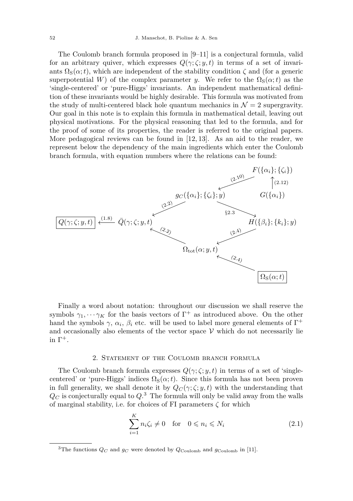The Coulomb branch formula proposed in [\[9](#page-20-7)[–11\]](#page-20-8) is a conjectural formula, valid for an arbitrary quiver, which expresses  $Q(\gamma;\zeta; y, t)$  in terms of a set of invariants  $\Omega_{\rm S}(\alpha;t)$ , which are independent of the stability condition  $\zeta$  and (for a generic superpotential *W*) of the complex parameter *y*. We refer to the  $\Omega_{S}(\alpha;t)$  as the 'single-centered' or 'pure-Higgs' invariants. An independent mathematical definition of these invariants would be highly desirable. This formula was motivated from the study of multi-centered black hole quantum mechanics in  $\mathcal{N}=2$  supergravity. Our goal in this note is to explain this formula in mathematical detail, leaving out physical motivations. For the physical reasoning that led to the formula, and for the proof of some of its properties, the reader is referred to the original papers. More pedagogical reviews can be found in [\[12,](#page-20-9) [13\]](#page-20-10). As an aid to the reader, we represent below the dependency of the main ingredients which enter the Coulomb branch formula, with equation numbers where the relations can be found:



Finally a word about notation: throughout our discussion we shall reserve the symbols  $\gamma_1, \cdots, \gamma_K$  for the basis vectors of  $\Gamma^+$  as introduced above. On the other hand the symbols  $\gamma$ ,  $\alpha_i$ ,  $\beta_i$  etc. will be used to label more general elements of  $\Gamma^+$ and occasionally also elements of the vector space  $V$  which do not necessarily lie in  $Γ^+$ .

# 2. Statement of the Coulomb branch formula

<span id="page-4-0"></span>The Coulomb branch formula expresses  $Q(\gamma;\zeta;y,t)$  in terms of a set of 'singlecentered' or 'pure-Higgs' indices  $\Omega_{\rm S}(\alpha;t)$ . Since this formula has not been proven in full generality, we shall denote it by  $Q_C(\gamma;\zeta;y,t)$  with the understanding that  $Q_C$  is conjecturally equal to  $Q$ .<sup>3</sup> The formula will only be valid away from the walls of marginal stability, i.e. for choices of FI parameters *ζ* for which

$$
\sum_{i=1}^{K} n_i \zeta_i \neq 0 \quad \text{for} \quad 0 \leqslant n_i \leqslant N_i \tag{2.1}
$$

<sup>&</sup>lt;sup>3</sup>The functions  $Q_C$  and  $g_C$  were denoted by  $Q_{\text{Coulomb}}$  and  $g_{\text{Coulomb}}$  in [\[11\]](#page-20-8).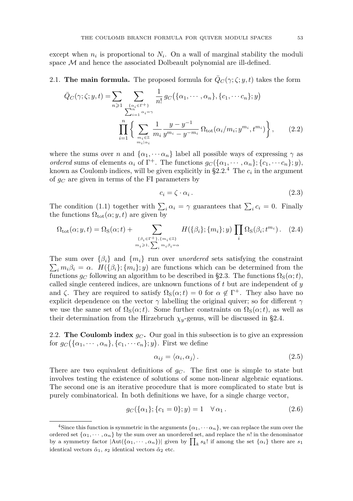except when  $n_i$  is proportional to  $N_i$ . On a wall of marginal stability the moduli space  $\mathcal M$  and hence the associated Dolbeault polynomial are ill-defined.

# <span id="page-5-0"></span>2.1. **The main formula.** The proposed formula for  $\bar{Q}_C(\gamma;\zeta;y,t)$  takes the form

$$
\bar{Q}_C(\gamma;\zeta;y,t) = \sum_{n\geq 1} \sum_{\substack{\{\alpha_i \in \Gamma^+\} \\ \sum_{i=1}^n \alpha_i = \gamma}} \frac{1}{n!} g_C(\{\alpha_1, \dots, \alpha_n\}, \{c_1, \dots, c_n\}; y)
$$

$$
\prod_{i=1}^n \left\{ \sum_{m_i \in \mathbb{Z} \\ m_i \mid \alpha_i} \frac{1}{m_i} \frac{y - y^{-1}}{y^{m_i} - y^{-m_i}} \Omega_{\text{tot}}(\alpha_i/m_i; y^{m_i}, t^{m_i}) \right\},\qquad(2.2)
$$

where the sums over *n* and  $\{\alpha_1, \cdots, \alpha_n\}$  label all possible ways of expressing  $\gamma$  as *ordered* sums of elements  $\alpha_i$  of  $\Gamma^+$ . The functions  $g_C(\{\alpha_1, \dots, \alpha_n\}; \{c_1, \dots c_n\}; y)$ , known as Coulomb indices, will be given explicitly in  $\S 2.2$ .<sup>4</sup> The  $c_i$  in the argument of *g<sup>C</sup>* are given in terms of the FI parameters by

<span id="page-5-2"></span>
$$
c_i = \zeta \cdot \alpha_i. \tag{2.3}
$$

The condition [\(1.1\)](#page-2-0) together with  $\sum_i \alpha_i = \gamma$  guarantees that  $\sum_i c_i = 0$ . Finally the functions  $\Omega_{\text{tot}}(\alpha; y, t)$  are given by

<span id="page-5-3"></span>
$$
\Omega_{\text{tot}}(\alpha; y, t) = \Omega_{\text{S}}(\alpha; t) + \sum_{\substack{\{\beta_i \in \Gamma^+, \{m_i \in \mathbb{Z}\} \\ m_i \geq 1, \sum_i m_i \beta_i = \alpha}} H(\{\beta_i\}; \{m_i\}; y) \prod_i \Omega_{\text{S}}(\beta_i; t^{m_i}). \quad (2.4)
$$

 $\sum_i m_i \beta_i = \alpha$ . *H*({ $\beta_i$ }; { $m_i$ }; *y*) are functions which can be determined from the The sum over  $\{\beta_i\}$  and  $\{m_i\}$  run over *unordered* sets satisfying the constraint functions  $g_C$  following an algorithm to be described in [§2.3.](#page-9-0) The functions  $\Omega_S(\alpha;t)$ , called single centered indices, are unknown functions of *t* but are independent of *y* and  $\zeta$ . They are required to satisfy  $\Omega_{S}(\alpha; t) = 0$  for  $\alpha \notin \Gamma^{+}$ . They also have no explicit dependence on the vector  $\gamma$  labelling the original quiver; so for different  $\gamma$ we use the same set of  $\Omega$ <sub>S</sub>( $\alpha$ ;*t*). Some further constraints on  $\Omega$ <sub>S</sub>( $\alpha$ ;*t*), as well as their determination from the Hirzebruch  $\chi_y$ -genus, will be discussed in [§2.4.](#page-10-0)

<span id="page-5-1"></span>2.2. **The Coulomb index**  $g_C$ . Our goal in this subsection is to give an expression for  $g_C(\{\alpha_1, \cdots, \alpha_n\}, \{c_1, \cdots c_n\}; y)$ . First we define

$$
\alpha_{ij} = \langle \alpha_i, \alpha_j \rangle. \tag{2.5}
$$

There are two equivalent definitions of  $g_C$ . The first one is simple to state but involves testing the existence of solutions of some non-linear algebraic equations. The second one is an iterative procedure that is more complicated to state but is purely combinatorical. In both definitions we have, for a single charge vector,

$$
g_C(\{\alpha_1\}; \{c_1 = 0\}; y) = 1 \quad \forall \alpha_1.
$$
 (2.6)

<sup>&</sup>lt;sup>4</sup>Since this function is symmetric in the arguments  $\{\alpha_1, \cdots, \alpha_n\}$ , we can replace the sum over the ordered set  $\{\alpha_1, \dots, \alpha_n\}$  by the sum over an unordered set, and replace the *n*! in the denominator by a symmetry factor  $|\text{Aut}(\{\alpha_1, \dots, \alpha_n\})|$  given by  $\prod_k s_k!$  if among the set  $\{\alpha_i\}$  there are  $s_1$ identical vectors  $\tilde{\alpha}_1$ ,  $s_2$  identical vectors  $\tilde{\alpha}_2$  etc.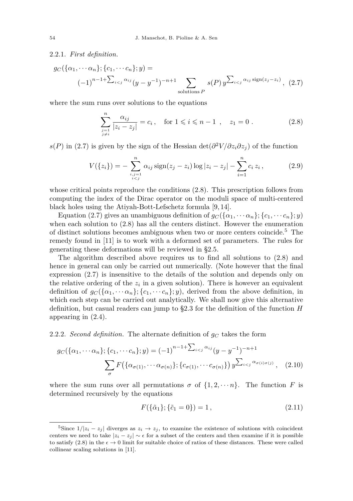# <span id="page-6-4"></span>2.2.1. *First definition.*

$$
g_C(\{\alpha_1, \cdots \alpha_n\}; \{c_1, \cdots c_n\}; y) =
$$
  

$$
(-1)^{n-1+\sum_{i < j} \alpha_{ij}} (y - y^{-1})^{-n+1} \sum_{\text{solutions } P} s(P) y^{\sum_{i < j} \alpha_{ij} \operatorname{sign}(z_j - z_i)}, (2.7)
$$

where the sum runs over solutions to the equations

<span id="page-6-2"></span><span id="page-6-1"></span>
$$
\sum_{\substack{j=1 \ j \neq i}}^{n} \frac{\alpha_{ij}}{|z_i - z_j|} = c_i, \quad \text{for } 1 \leq i \leq n - 1 \ , \quad z_1 = 0 \ . \tag{2.8}
$$

*s*(*P*) in [\(2.7\)](#page-6-1) is given by the sign of the Hessian det( $\partial^2 V / \partial z_i \partial z_j$ ) of the function

<span id="page-6-6"></span>
$$
V(\{z_i\}) = -\sum_{\substack{i,j=1\\i
$$

whose critical points reproduce the conditions [\(2.8\)](#page-6-2). This prescription follows from computing the index of the Dirac operator on the moduli space of multi-centered black holes using the Atiyah-Bott-Lefschetz formula [\[9,](#page-20-7) [14\]](#page-20-11).

Equation [\(2.7\)](#page-6-1) gives an unambiguous definition of  $g_C(\{\alpha_1, \cdots \alpha_n\}; \{c_1, \cdots c_n\}; y)$ when each solution to [\(2.8\)](#page-6-2) has all the centers distinct. However the enumeration of distinct solutions becomes ambiguous when two or more centers coincide.<sup>5</sup> The remedy found in [\[11\]](#page-20-8) is to work with a deformed set of parameters. The rules for generating these deformations will be reviewed in [§2.5.](#page-11-0)

The algorithm described above requires us to find all solutions to [\(2.8\)](#page-6-2) and hence in general can only be carried out numerically. (Note however that the final expression [\(2.7\)](#page-6-1) is insensitive to the details of the solution and depends only on the relative ordering of the  $z_i$  in a given solution). There is however an equivalent definition of  $g_C(\{\alpha_1, \cdots \alpha_n\}; \{c_1, \cdots c_n\}; y)$ , derived from the above definition, in which each step can be carried out analytically. We shall now give this alternative definition, but casual readers can jump to [§2.3](#page-9-0) for the definition of the function *H* appearing in [\(2.4\)](#page-5-3).

#### <span id="page-6-5"></span>2.2.2. *Second definition*. The alternate definition of  $g_C$  takes the form

$$
g_C(\{\alpha_1, \cdots \alpha_n\}; \{c_1, \cdots c_n\}; y) = (-1)^{n-1+\sum_{i < j} \alpha_{ij}} (y - y^{-1})^{-n+1}
$$
\n
$$
\sum_{\sigma} F(\{\alpha_{\sigma(1)}, \cdots \alpha_{\sigma(n)}\}; \{c_{\sigma(1)}, \cdots c_{\sigma(n)}\}) y^{\sum_{i < j} \alpha_{\sigma(i)\sigma(j)}}, \quad (2.10)
$$

where the sum runs over all permutations  $\sigma$  of  $\{1, 2, \dots n\}$ . The function *F* is determined recursively by the equations

<span id="page-6-3"></span><span id="page-6-0"></span>
$$
F(\{\tilde{\alpha}_1\}; \{\tilde{c}_1 = 0\}) = 1, \tag{2.11}
$$

<sup>&</sup>lt;sup>5</sup>Since  $1/|z_i - z_j|$  diverges as  $z_i \to z_j$ , to examine the existence of solutions with coincident centers we need to take  $|z_i - z_j| \sim \epsilon$  for a subset of the centers and then examine if it is possible to satisfy [\(2.8\)](#page-6-2) in the  $\epsilon \to 0$  limit for suitable choice of ratios of these distances. These were called collinear scaling solutions in [\[11\]](#page-20-8).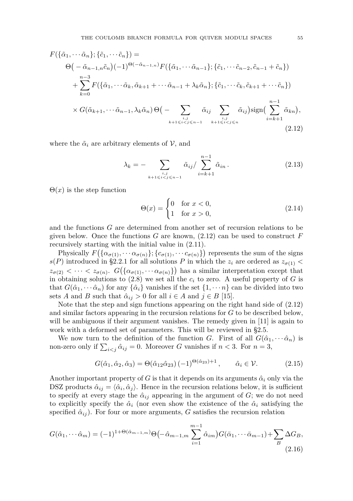$$
F(\{\tilde{\alpha}_1, \dots, \tilde{\alpha}_n\}; \{\tilde{c}_1, \dots, \tilde{c}_n\}) =
$$
\n
$$
\Theta(-\tilde{\alpha}_{n-1,n}\tilde{c}_n)(-1)^{\Theta(-\tilde{\alpha}_{n-1,n})}F(\{\tilde{\alpha}_1, \dots, \tilde{\alpha}_{n-1}\}; \{\tilde{c}_1, \dots, \tilde{c}_{n-2}, \tilde{c}_{n-1} + \tilde{c}_n\})
$$
\n
$$
+ \sum_{k=0}^{n-3} F(\{\tilde{\alpha}_1, \dots, \tilde{\alpha}_k, \tilde{\alpha}_{k+1} + \dots \tilde{\alpha}_{n-1} + \lambda_k \tilde{\alpha}_n\}; \{\tilde{c}_1, \dots, \tilde{c}_k, \tilde{c}_{k+1} + \dots \tilde{c}_n\})
$$
\n
$$
\times G(\tilde{\alpha}_{k+1}, \dots, \tilde{\alpha}_{n-1}, \lambda_k \tilde{\alpha}_n) \Theta(-\sum_{\substack{i,j \\ k+1 \leq i < j \leq n-1}} \tilde{\alpha}_{ij} \sum_{\substack{i,j \\ k+1 \leq i < j \leq n-1}} \tilde{\alpha}_{ij}) \operatorname{sign}\left(\sum_{i=k+1}^{n-1} \tilde{\alpha}_{kn}\right),
$$
\n(2.12)

where the  $\tilde{\alpha}_i$  are arbitrary elements of  $\mathcal{V}$ , and

$$
\lambda_k = - \sum_{\substack{i,j\\k+1 \le i < j \le n-1}} \tilde{\alpha}_{ij} / \sum_{i=k+1}^{n-1} \tilde{\alpha}_{in} \,. \tag{2.13}
$$

 $\Theta(x)$  is the step function

<span id="page-7-2"></span><span id="page-7-0"></span>
$$
\Theta(x) = \begin{cases} 0 & \text{for } x < 0, \\ 1 & \text{for } x > 0, \end{cases} \tag{2.14}
$$

and the functions *G* are determined from another set of recursion relations to be given below. Once the functions  $G$  are known,  $(2.12)$  can be used to construct  $F$ recursively starting with the initial value in [\(2.11\)](#page-6-3).

Physically  $F\left(\{\alpha_{\sigma(1)}, \cdots \alpha_{\sigma(n)}\}; \{c_{\sigma(1)}, \cdots c_{\sigma(n)}\}\right)$  represents the sum of the signs  $s(P)$  introduced in [§2.2.1](#page-6-4) for all solutions *P* in which the  $z_i$  are ordered as  $z_{\sigma(1)}$  <  $z_{\sigma(2)} < \cdots < z_{\sigma(n)}$ .  $G\left(\{\alpha_{\sigma(1)}, \cdots \alpha_{\sigma(n)}\}\right)$  has a similar interpretation except that in obtaining solutions to  $(2.8)$  we set all the  $c_i$  to zero. A useful property of G is that  $G(\hat{\alpha}_1, \dots, \hat{\alpha}_n)$  for any  $\{\hat{\alpha}_i\}$  vanishes if the set  $\{1, \dots, n\}$  can be divided into two sets *A* and *B* such that  $\hat{\alpha}_{ij} > 0$  for all  $i \in A$  and  $j \in B$  [\[15\]](#page-20-12).

Note that the step and sign functions appearing on the right hand side of [\(2.12\)](#page-7-0) and similar factors appearing in the recursion relations for *G* to be described below, will be ambiguous if their argument vanishes. The remedy given in [\[11\]](#page-20-8) is again to work with a deformed set of parameters. This will be reviewed in [§2.5.](#page-11-0)

We now turn to the definition of the function *G*. First of all  $G(\hat{\alpha}_1, \dots, \hat{\alpha}_n)$  is non-zero only if  $\sum_{i < j} \hat{\alpha}_{ij} = 0$ . Moreover *G* vanishes if  $n < 3$ . For  $n = 3$ ,

$$
G(\hat{\alpha}_1, \hat{\alpha}_2, \hat{\alpha}_3) = \Theta(\hat{\alpha}_{12}\hat{\alpha}_{23}) (-1)^{\Theta(\hat{\alpha}_{23})+1}, \qquad \hat{\alpha}_i \in \mathcal{V}.
$$
 (2.15)

Another important property of *G* is that it depends on its arguments  $\hat{\alpha}_i$  only via the DSZ products  $\hat{\alpha}_{ij} = \langle \hat{\alpha}_i, \hat{\alpha}_j \rangle$ . Hence in the recursion relations below, it is sufficient to specify at every stage the  $\hat{\alpha}_{ij}$  appearing in the argument of *G*; we do not need to explicitly specify the  $\hat{\alpha}_i$  (nor even show the existence of the  $\hat{\alpha}_i$  satisfying the specified  $\hat{\alpha}_{ij}$ ). For four or more arguments, *G* satisfies the recursion relation

<span id="page-7-1"></span>
$$
G(\hat{\alpha}_1, \cdots \hat{\alpha}_m) = (-1)^{1+\Theta(\hat{\alpha}_{m-1,m})} \Theta\left(-\hat{\alpha}_{m-1,m} \sum_{i=1}^{m-1} \hat{\alpha}_{im}\right) G(\bar{\alpha}_1, \cdots \bar{\alpha}_{m-1}) + \sum_B \Delta G_B,
$$
\n(2.16)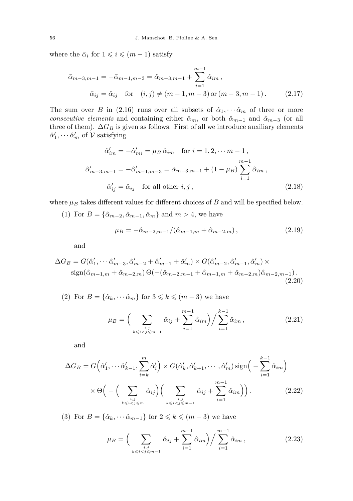where the  $\bar{\alpha}_i$  for  $1 \leqslant i \leqslant (m-1)$  satisfy

$$
\bar{\alpha}_{m-3,m-1} = -\bar{\alpha}_{m-1,m-3} = \hat{\alpha}_{m-3,m-1} + \sum_{i=1}^{m-1} \hat{\alpha}_{im},
$$
  
\n
$$
\bar{\alpha}_{ij} = \hat{\alpha}_{ij} \text{ for } (i,j) \neq (m-1, m-3) \text{ or } (m-3, m-1). \qquad (2.17)
$$

The sum over *B* in [\(2.16\)](#page-7-1) runs over all subsets of  $\hat{\alpha}_1, \cdots, \hat{\alpha}_m$  of three or more *consecutive elements* and containing either  $\hat{\alpha}_m$ , or both  $\hat{\alpha}_{m-1}$  and  $\hat{\alpha}_{m-3}$  (or all three of them).  $\Delta G_B$  is given as follows. First of all we introduce auxiliary elements  $\hat{\alpha}'_1, \cdots, \hat{\alpha}'_m$  of  $\mathcal V$  satisfying

$$
\hat{\alpha}'_{im} = -\hat{\alpha}'_{mi} = \mu_B \,\hat{\alpha}_{im} \quad \text{for } i = 1, 2, \dots m - 1,
$$
  

$$
\hat{\alpha}'_{m-3, m-1} = -\hat{\alpha}'_{m-1, m-3} = \hat{\alpha}_{m-3, m-1} + (1 - \mu_B) \sum_{i=1}^{m-1} \hat{\alpha}_{im} ,
$$
  

$$
\hat{\alpha}'_{ij} = \hat{\alpha}_{ij} \quad \text{for all other } i, j ,
$$
 (2.18)

where  $\mu_B$  takes different values for different choices of  $B$  and will be specified below.

(1) For  $B = {\hat{\alpha}_{m-2}, \hat{\alpha}_{m-1}, \hat{\alpha}_m}$  and  $m > 4$ , we have

$$
\mu_B = -\hat{\alpha}_{m-2,m-1}/(\hat{\alpha}_{m-1,m} + \hat{\alpha}_{m-2,m}),
$$
\n(2.19)

and

$$
\Delta G_B = G(\hat{\alpha}'_1, \cdots \hat{\alpha}'_{m-3}, \hat{\alpha}'_{m-2} + \hat{\alpha}'_{m-1} + \hat{\alpha}'_m) \times G(\hat{\alpha}'_{m-2}, \hat{\alpha}'_{m-1}, \hat{\alpha}'_m) \times \text{sign}(\hat{\alpha}_{m-1,m} + \hat{\alpha}_{m-2,m}) \Theta(-(\hat{\alpha}_{m-2,m-1} + \hat{\alpha}_{m-1,m} + \hat{\alpha}_{m-2,m})\hat{\alpha}_{m-2,m-1}).
$$
\n(2.20)

(2) For  $B = {\hat{\alpha}_k, \dots \hat{\alpha}_m}$  for  $3 \leq k \leq (m-3)$  we have

$$
\mu_B = \Big( \sum_{\substack{i,j \\ k \le i < j \le m-1}} \hat{\alpha}_{ij} + \sum_{i=1}^{m-1} \hat{\alpha}_{im} \Big) \Big/ \sum_{i=1}^{k-1} \hat{\alpha}_{im} \,, \tag{2.21}
$$

and

$$
\Delta G_B = G\left(\hat{\alpha}'_1, \cdots \hat{\alpha}'_{k-1}, \sum_{i=k}^m \hat{\alpha}'_i\right) \times G(\hat{\alpha}'_k, \hat{\alpha}'_{k+1}, \cdots, \hat{\alpha}'_m) \operatorname{sign}\left(-\sum_{i=1}^{k-1} \hat{\alpha}_{im}\right)
$$

$$
\times \Theta\left(-\left(\sum_{\substack{i,j\\k \leq i < j \leq m}} \hat{\alpha}_{ij}\right) \left(\sum_{\substack{i,j\\k \leq i < j \leq m-1}} \hat{\alpha}_{ij} + \sum_{i=1}^{m-1} \hat{\alpha}_{im}\right)\right). \tag{2.22}
$$

(3) For  $B = {\hat{\alpha}_k, \dots \hat{\alpha}_{m-1}}$  for  $2 \leq k \leq (m-3)$  we have

$$
\mu_B = \Big( \sum_{\substack{i,j \\ k \le i < j \le m-1}} \hat{\alpha}_{ij} + \sum_{i=1}^{m-1} \hat{\alpha}_{im} \Big) \Big/ \sum_{i=1}^{m-1} \hat{\alpha}_{im} \,, \tag{2.23}
$$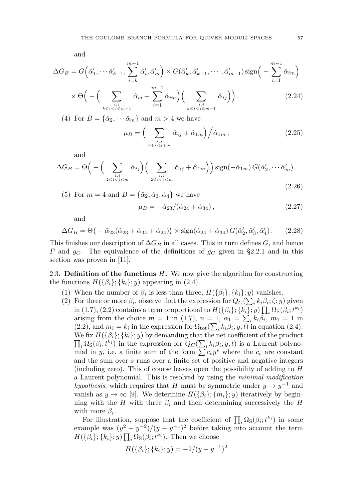and

$$
\Delta G_B = G\left(\hat{\alpha}'_1, \cdots \hat{\alpha}'_{k-1}, \sum_{i=k}^{m-1} \hat{\alpha}'_i, \hat{\alpha}'_m\right) \times G(\hat{\alpha}'_k, \hat{\alpha}'_{k+1}, \cdots, \hat{\alpha}'_{m-1}) \operatorname{sign}\left(-\sum_{i=1}^{m-1} \hat{\alpha}_{im}\right)
$$

$$
\times \Theta\left(-\left(\sum_{i=1}^{m-1} \hat{\alpha}_{ij} + \sum_{i=1}^{m-1} \hat{\alpha}_{im}\right)\left(\sum_{i=1}^{m-1} \hat{\alpha}_{ij}\right)\right). \tag{2.24}
$$

$$
\times \Theta\Big(-\Big(\sum_{\substack{i,j\\k\leqslant i (2.24)
$$

(4) For  $B = {\hat{\alpha}_2, \dots \hat{\alpha}_m}$  and  $m > 4$  we have

$$
\mu_B = \left(\sum_{\substack{i,j\\2 \le i < j \le m}} \hat{\alpha}_{ij} + \hat{\alpha}_{1m}\right) \bigg/ \hat{\alpha}_{1m},\tag{2.25}
$$

and

$$
\Delta G_B = \Theta \Big( - \Big( \sum_{i,j \atop 2 \leq i < j \leq m} \hat{\alpha}_{ij} \Big) \Big( \sum_{i,j \atop 2 \leq i < j \leq m} \hat{\alpha}_{ij} + \hat{\alpha}_{1m} \Big) \Big) \operatorname{sign}(-\hat{\alpha}_{1m}) \, G(\hat{\alpha}'_2, \cdots, \hat{\alpha}'_m) \,. \tag{2.26}
$$

(5) For 
$$
m = 4
$$
 and  $B = {\hat{\alpha}_2, \hat{\alpha}_3, \hat{\alpha}_4}$  we have

$$
\mu_B = -\hat{\alpha}_{23} / (\hat{\alpha}_{24} + \hat{\alpha}_{34}), \qquad (2.27)
$$

and

$$
\Delta G_B = \Theta \big(-\hat{\alpha}_{23}(\hat{\alpha}_{23} + \hat{\alpha}_{34} + \hat{\alpha}_{24})\big) \times \text{sign}(\hat{\alpha}_{24} + \hat{\alpha}_{34}) G(\hat{\alpha}'_2, \hat{\alpha}'_3, \hat{\alpha}'_4). \tag{2.28}
$$

This finishes our description of  $\Delta G_B$  in all cases. This in turn defines *G*, and hence *F* and  $g_C$ . The equivalence of the definitions of  $g_C$  given in [§2.2.1](#page-6-4) and in this section was proven in [\[11\]](#page-20-8).

<span id="page-9-0"></span>2.3. **Definition of the functions** *H***.** We now give the algorithm for constructing the functions  $H(\{\beta_i\}; \{k_i\}; y)$  appearing in [\(2.4\)](#page-5-3).

- (1) When the number of  $\beta_i$  is less than three,  $H(\{\beta_i\}; \{k_i\}; y)$  vanishes.
- (2) For three or more  $\beta_i$ , observe that the expression for  $Q_C(\sum_i k_i \beta_i; \zeta; y)$  given in [\(1.7\)](#page-3-1), [\(2.2\)](#page-5-2) contains a term proportional to  $H(\{\beta_i\}; \{k_i\}; y) \prod_i \Omega_{S}(\beta_i; t^{k_i})$ arising from the choice  $m = 1$  in [\(1.7\)](#page-3-1),  $n = 1$ ,  $\alpha_1 = \sum_i k_i \beta_i$ ,  $m_1 = 1$  in [\(2.2\)](#page-5-2), and  $m_i = k_i$  in the expression for  $\Omega_{\text{tot}}(\sum_i k_i \beta_i; y, t)$  in equation [\(2.4\)](#page-5-3).  $\prod_i \Omega_{\rm S}(\beta_i; t^{k_i})$  in the expression for  $Q_C(\sum_i k_i \beta_i; y, t)$  is a Laurent polyno-We fix  $H({\beta_i}; \{k_i\}; y)$  by demanding that the net coefficient of the product mial in *y*, i.e. a finite sum of the form  $\sum c_s y^s$  where the  $c_s$  are constant and the sum over *s* runs over a finite set of positive and negative integers (including zero). This of course leaves open the possibility of adding to *H* a Laurent polynomial. This is resolved by using the *minimal modification hypothesis*, which requires that *H* must be symmetric under  $y \to y^{-1}$  and vanish as  $y \to \infty$  [\[9\]](#page-20-7). We determine  $H(\{\beta_i\}; \{m_i\}; y)$  iteratively by beginning with the *H* with three  $\beta_i$  and then determining successively the *H* with more  $\beta_i$ .

For illustration, suppose that the coefficient of  $\prod_i \Omega_{\rm S}(\beta_i; t^{k_i})$  in some example was  $(y^2 + y^{-2})/(y - y^{-1})^2$  before taking into account the term  $H(\{\beta_i\}; \{k_i\}; y) \prod_i \Omega_{\rm S}(\beta_i; t^{k_i})$ . Then we choose

$$
H(\{\beta_i\}; \{k_i\}; y) = -2/(y - y^{-1})^2
$$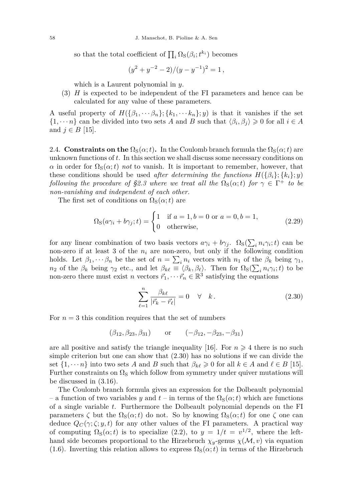so that the total coefficient of  $\prod_i \Omega_{\rm S}(\beta_i; t^{k_i})$  becomes

$$
(y^2 + y^{-2} - 2)/(y - y^{-1})^2 = 1,
$$

which is a Laurent polynomial in *y*.

(3) *H* is expected to be independent of the FI parameters and hence can be calculated for any value of these parameters.

A useful property of  $H(\{\beta_1, \dots \beta_n\}; \{k_1, \dots k_n\}; y)$  is that it vanishes if the set  $\{1, \dots, n\}$  can be divided into two sets *A* and *B* such that  $\langle \beta_i, \beta_j \rangle \geq 0$  for all  $i \in A$ and  $j ∈ B$  [\[15\]](#page-20-12).

<span id="page-10-0"></span>2.4. **Constraints on the**  $\Omega_{\rm S}(\alpha;t)$ . In the Coulomb branch formula the  $\Omega_{\rm S}(\alpha;t)$  are unknown functions of *t*. In this section we shall discuss some necessary conditions on *α* in order for  $\Omega$ <sub>S</sub>( $\alpha$ ;*t*) *not* to vanish. It is important to remember, however, that these conditions should be used *after determining the functions*  $H(\{\beta_i\}; \{k_i\}; y)$ *following the procedure of*  $\S 2.3$  *where we treat all the*  $\Omega_{\rm S}(\alpha;t)$  *for*  $\gamma \in \Gamma^+$  *to be non-vanishing and independent of each other.*

The first set of conditions on  $\Omega_{\rm S}(\alpha;t)$  are

<span id="page-10-2"></span>
$$
\Omega_{\rm S}(a\gamma_i + b\gamma_j; t) = \begin{cases} 1 & \text{if } a = 1, b = 0 \text{ or } a = 0, b = 1, \\ 0 & \text{otherwise,} \end{cases} \tag{2.29}
$$

for any linear combination of two basis vectors  $a\gamma_i + b\gamma_j$ .  $\Omega_{\rm S}(\sum_i n_i\gamma_i;t)$  can be non-zero if at least 3 of the  $n_i$  are non-zero, but only if the following condition holds. Let  $\beta_1, \dots, \beta_n$  be the set of  $n = \sum_i n_i$  vectors with  $n_1$  of the  $\beta_k$  being  $\gamma_1$ , *n*<sub>2</sub> of the *β*<sup>*k*</sup> being  $\gamma_2$  etc., and let  $\beta_{k\ell} \equiv \langle \beta_k, \beta_\ell \rangle$ . Then for  $\Omega_{S}(\sum_i n_i \gamma_i; t)$  to be non-zero there must exist *n* vectors  $\vec{r}_1, \dots, \vec{r}_n \in \mathbb{R}^3$  satisfying the equations

<span id="page-10-1"></span>
$$
\sum_{\ell=1}^{n} \frac{\beta_{k\ell}}{|\vec{r}_k - \vec{r}_\ell|} = 0 \quad \forall \quad k.
$$
\n(2.30)

For  $n=3$  this condition requires that the set of numbers

$$
(\beta_{12}, \beta_{23}, \beta_{31})
$$
 or  $(-\beta_{12}, -\beta_{23}, -\beta_{31})$ 

are all positive and satisfy the triangle inequality [\[16\]](#page-20-13). For  $n \geq 4$  there is no such simple criterion but one can show that [\(2.30\)](#page-10-1) has no solutions if we can divide the set  $\{1, \dots n\}$  into two sets *A* and *B* such that  $\beta_{k\ell} \geq 0$  for all  $k \in A$  and  $\ell \in B$  [\[15\]](#page-20-12). Further constraints on  $\Omega_{\rm S}$  which follow from symmetry under quiver mutations will be discussed in [\(3.16\)](#page-16-1).

The Coulomb branch formula gives an expression for the Dolbeault polynomial – a function of two variables *y* and  $t$  – in terms of the  $\Omega$ <sub>S</sub>( $\alpha$ ;*t*) which are functions of a single variable *t*. Furthermore the Dolbeault polynomial depends on the FI parameters  $\zeta$  but the  $\Omega_{\rm S}(\alpha;t)$  do not. So by knowing  $\Omega_{\rm S}(\alpha;t)$  for one  $\zeta$  one can deduce  $Q_C(\gamma;\zeta;y,t)$  for any other values of the FI parameters. A practical way of computing  $\Omega_{\rm S}(\alpha;t)$  is to specialize [\(2.2\)](#page-5-2), to  $y = 1/t = v^{1/2}$ , where the lefthand side becomes proportional to the Hirzebruch  $\chi_y$ -genus  $\chi(\mathcal{M}, v)$  via equation [\(1.6\)](#page-3-2). Inverting this relation allows to express  $\Omega_{\rm S}(\alpha; t)$  in terms of the Hirzebruch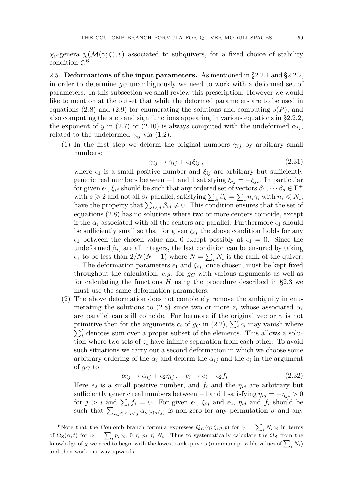*χ*<sub>*y*</sub>-genera *χ*( $M(γ; ζ)$ *, v*) associated to subquivers, for a fixed choice of stability condition *ζ*. 6

<span id="page-11-0"></span>2.5. **Deformations of the input parameters.** As mentioned in [§2.2.1](#page-6-4) and [§2.2.2,](#page-6-5) in order to determine *g<sup>C</sup>* unambiguously we need to work with a deformed set of parameters. In this subsection we shall review this prescription. However we would like to mention at the outset that while the deformed parameters are to be used in equations [\(2.8\)](#page-6-2) and [\(2.9\)](#page-6-6) for enumerating the solutions and computing  $s(P)$ , and also computing the step and sign functions appearing in various equations in [§2.2.2,](#page-6-5) the exponent of *y* in [\(2.7\)](#page-6-1) or [\(2.10\)](#page-6-0) is always computed with the undeformed  $\alpha_{ij}$ , related to the undeformed  $\gamma_{ij}$  via [\(1.2\)](#page-2-2).

(1) In the first step we deform the original numbers  $\gamma_{ij}$  by arbitrary small numbers:

<span id="page-11-1"></span>
$$
\gamma_{ij} \to \gamma_{ij} + \epsilon_1 \xi_{ij} , \qquad (2.31)
$$

where  $\epsilon_1$  is a small positive number and  $\xi_{ij}$  are arbitrary but sufficiently generic real numbers between  $-1$  and 1 satisfying  $\xi_{ij} = -\xi_{ji}$ . In particular for given  $\epsilon_1, \xi_{ij}$  should be such that any ordered set of vectors  $\beta_1, \dots \beta_s \in \Gamma^+$ with  $s \ge 2$  and not all  $\beta_k$  parallel, satisfying  $\sum_k \beta_k = \sum_i n_i \gamma_i$  with  $n_i \le N_i$ , have the property that  $\sum_{i < j} \beta_{ij} \neq 0$ . This condition ensures that the set of equations [\(2.8\)](#page-6-2) has no solutions where two or more centers coincide, except if the  $\alpha_i$  associated with all the centers are parallel. Furthermore  $\epsilon_1$  should be sufficiently small so that for given  $\xi_{ij}$  the above condition holds for any  $\epsilon_1$  between the chosen value and 0 except possibly at  $\epsilon_1 = 0$ . Since the undeformed  $\beta_{ij}$  are all integers, the last condition can be ensured by taking  $\epsilon_1$  to be less than  $2/N(N-1)$  where  $N = \sum_i N_i$  is the rank of the quiver.

The deformation parameters  $\epsilon_1$  and  $\xi_{ij}$ , once chosen, must be kept fixed throughout the calculation, *e.g.* for  $g_C$  with various arguments as well as for calculating the functions *H* using the procedure described in [§2.3](#page-9-0) we must use the same deformation parameters.

(2) The above deformation does not completely remove the ambiguity in enu-merating the solutions to [\(2.8\)](#page-6-2) since two or more  $z_i$  whose associated  $\alpha_i$ are parallel can still coincide. Furthermore if the original vector  $\gamma$  is not primitive then for the arguments  $c_i$  of  $g_C$  in [\(2.2\)](#page-5-2),  $\sum_i' c_i$  may vanish where  $\sum_i'$  denotes sum over a proper subset of the elements. This allows a solution where two sets of  $z_i$  have infinite separation from each other. To avoid such situations we carry out a second deformation in which we choose some arbitrary ordering of the  $\alpha_i$  and deform the  $\alpha_{ij}$  and the  $c_i$  in the argument of *g<sup>C</sup>* to

<span id="page-11-2"></span>
$$
\alpha_{ij} \to \alpha_{ij} + \epsilon_2 \eta_{ij}, \quad c_i \to c_i + \epsilon_2 f_i. \tag{2.32}
$$

Here  $\epsilon_2$  is a small positive number, and  $f_i$  and the  $\eta_{ij}$  are arbitrary but sufficiently generic real numbers between  $-1$  and 1 satisfying  $\eta_{ij} = -\eta_{ji} > 0$ for  $j > i$  and  $\sum_i f_i = 0$ . For given  $\epsilon_1$ ,  $\xi_{ij}$  and  $\epsilon_2$ ,  $\eta_{ij}$  and  $f_i$  should be such that  $\sum_{i,j\in A; i is non-zero for any permutation  $\sigma$  and any$ 

<sup>&</sup>lt;sup>6</sup>Note that the Coulomb branch formula expresses  $Q_C(\gamma;\zeta;y,t)$  for  $\gamma = \sum_i N_i \gamma_i$  in terms of  $\Omega_{\rm S}(\alpha;t)$  for  $\alpha = \sum_i p_i \gamma_i$ ,  $0 \leqslant p_i \leqslant N_i$ . Thus to systematically calculate the  $\Omega_{\rm S}$  from the knowledge of  $\chi$  we need to begin with the lowest rank quivers (minimum possible values of  $\sum_i N_i$ ) and then work our way upwards.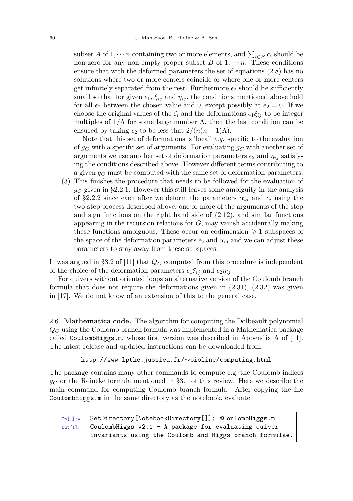subset *A* of 1,  $\cdots n$  containing two or more elements, and  $\sum_{i \in B} c_i$  should be non-zero for any non-empty proper subset  $B$  of  $1, \dots n$ . These conditions ensure that with the deformed parameters the set of equations [\(2.8\)](#page-6-2) has no solutions where two or more centers coincide or where one or more centers get infinitely separated from the rest. Furthermore  $\epsilon_2$  should be sufficiently small so that for given  $\epsilon_1$ ,  $\xi_{ij}$  and  $\eta_{ij}$ , the conditions mentioned above hold for all  $\epsilon_2$  between the chosen value and 0, except possibly at  $\epsilon_2 = 0$ . If we choose the original values of the  $\zeta_i$  and the deformations  $\epsilon_1 \xi_{ij}$  to be integer multiples of  $1/\Lambda$  for some large number  $\Lambda$ , then the last condition can be ensured by taking  $\epsilon_2$  to be less that  $2/(n(n-1)\Lambda)$ .

Note that this set of deformations is 'local' *e.g.* specific to the evaluation of *g<sup>C</sup>* with a specific set of arguments. For evaluating *g<sup>C</sup>* with another set of arguments we use another set of deformation parameters  $\epsilon_2$  and  $\eta_{ij}$  satisfying the conditions described above. However different terms contributing to a given *g<sup>C</sup>* must be computed with the same set of deformation parameters.

(3) This finishes the procedure that needs to be followed for the evaluation of  $q_C$  given in [§2.2.1.](#page-6-4) However this still leaves some ambiguity in the analysis of [§2.2.2](#page-6-5) since even after we deform the parameters  $\alpha_{ij}$  and  $c_i$  using the two-step process described above, one or more of the arguments of the step and sign functions on the right hand side of  $(2.12)$ , and similar functions appearing in the recursion relations for *G*, may vanish accidentally making these functions ambiguous. These occur on codimension  $\geq 1$  subspaces of the space of the deformation parameters  $\epsilon_2$  and  $\alpha_{ij}$  and we can adjust these parameters to stay away from these subspaces.

It was argued in §3.2 of [\[11\]](#page-20-8) that *Q<sup>C</sup>* computed from this procedure is independent of the choice of the deformation parameters  $\epsilon_1 \xi_{ij}$  and  $\epsilon_2 \eta_{ij}$ .

For quivers without oriented loops an alternative version of the Coulomb branch formula that does not require the deformations given in [\(2.31\)](#page-11-1), [\(2.32\)](#page-11-2) was given in [\[17\]](#page-20-14). We do not know of an extension of this to the general case.

<span id="page-12-0"></span>2.6. **Mathematica code.** The algorithm for computing the Dolbeault polynomial *Q<sup>C</sup>* using the Coulomb branch formula was implemented in a Mathematica package called CoulombHiggs.m, whose first version was described in Appendix A of [\[11\]](#page-20-8). The latest release and updated instructions can be downloaded from

#### [http://www.lpthe.jussieu.fr/](http://www.lpthe.jussieu.fr/~pioline/computing.html)∼pioline/computing.html

The package contains many other commands to compute e.g. the Coulomb indices *g<sup>C</sup>* or the Reineke formula mentioned in [§3.1](#page-13-1) of this review. Here we describe the main command for computing Coulomb branch formula. After copying the file CoulombHiggs.m in the same directory as the notebook, evaluate

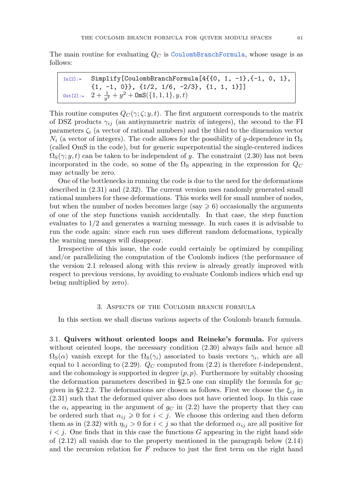The main routine for evaluating  $Q_C$  is CoulombBranchFormula, whose usage is as follows:

 $In [2]:$  Simplify[CoulombBranchFormula[4{{0, 1, -1}, {-1, 0, 1}, {1, -1, 0}}, {1/2, 1/6, -2/3}, {1, 1, 1}]]  $\text{\texttt{Out[2]}}:=\ \ 2+\tfrac{1}{y^2}+y^2+\text{\texttt{OmS}}(\{1,1,1\},y,t)$ 

This routine computes  $Q_C(\gamma;\zeta;y,t)$ . The first argument corresponds to the matrix of DSZ products  $\gamma_{ij}$  (an antisymmetric matrix of integers), the second to the FI parameters  $\zeta_i$  (a vector of rational numbers) and the third to the dimension vector  $N_i$  (a vector of integers). The code allows for the possibility of *y*-dependence in  $\Omega_{\rm S}$ (called OmS in the code), but for generic superpotential the single-centered indices  $\Omega_{\rm S}(\gamma; y, t)$  can be taken to be independent of *y*. The constraint [\(2.30\)](#page-10-1) has not been incorporated in the code, so some of the  $\Omega_{\rm S}$  appearing in the expression for  $Q_C$ may actually be zero.

One of the bottlenecks in running the code is due to the need for the deformations described in [\(2.31\)](#page-11-1) and [\(2.32\)](#page-11-2). The current version uses randomly generated small rational numbers for these deformations. This works well for small number of nodes, but when the number of nodes becomes large (say  $\geq 6$ ) occasionally the arguments of one of the step functions vanish accidentally. In that case, the step function evaluates to 1*/*2 and generates a warning message. In such cases it is advisable to run the code again: since each run uses different random deformations, typically the warning messages will disappear.

Irrespective of this issue, the code could certainly be optimized by compiling and/or parallelizing the computation of the Coulomb indices (the performance of the version 2.1 released along with this review is already greatly improved with respect to previous versions, by avoiding to evaluate Coulomb indices which end up being multiplied by zero).

#### 3. Aspects of the Coulomb branch formula

<span id="page-13-0"></span>In this section we shall discuss various aspects of the Coulomb branch formula.

<span id="page-13-1"></span>3.1. **Quivers without oriented loops and Reineke's formula.** For quivers without oriented loops, the necessary condition  $(2.30)$  always fails and hence all  $\Omega_{\rm S}(\alpha)$  vanish except for the  $\Omega_{\rm S}(\gamma_i)$  associated to basis vectors  $\gamma_i$ , which are all equal to 1 according to [\(2.29\)](#page-10-2).  $Q_C$  computed from [\(2.2\)](#page-5-2) is therefore *t*-independent, and the cohomology is supported in degree  $(p, p)$ . Furthermore by suitably choosing the deformation parameters described in [§2.5](#page-11-0) one can simplify the formula for  $g_C$ given in [§2.2.2.](#page-6-5) The deformations are chosen as follows. First we choose the  $\xi_{ij}$  in [\(2.31\)](#page-11-1) such that the deformed quiver also does not have oriented loop. In this case the  $\alpha_i$  appearing in the argument of  $g_C$  in [\(2.2\)](#page-5-2) have the property that they can be ordered such that  $\alpha_{ij} \geq 0$  for  $i < j$ . We choose this ordering and then deform them as in [\(2.32\)](#page-11-2) with  $\eta_{ij} > 0$  for  $i < j$  so that the deformed  $\alpha_{ij}$  are all positive for  $i < j$ . One finds that in this case the functions  $G$  appearing in the right hand side of [\(2.12\)](#page-7-0) all vanish due to the property mentioned in the paragraph below [\(2.14\)](#page-7-2) and the recursion relation for *F* reduces to just the first term on the right hand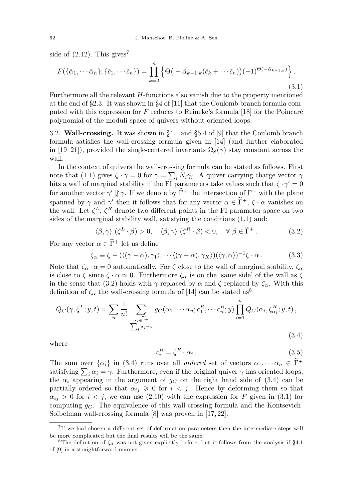side of  $(2.12)$ . This gives<sup>7</sup>

<span id="page-14-3"></span>
$$
F(\{\tilde{\alpha}_1, \cdots \tilde{\alpha}_n\}; \{\tilde{c}_1, \cdots \tilde{c}_n\}) = \prod_{k=2}^n \left\{ \Theta\big(-\tilde{\alpha}_{k-1,k}(\tilde{c}_k + \cdots \tilde{c}_n)\big)(-1)^{\Theta(-\tilde{\alpha}_{k-1,k})} \right\}.
$$
\n(3.1)

Furthermore all the relevant *H*-functions also vanish due to the property mentioned at the end of [§2.3.](#page-9-0) It was shown in §4 of [\[11\]](#page-20-8) that the Coulomb branch formula computed with this expression for *F* reduces to Reineke's formula [\[18\]](#page-20-15) for the Poincaré polynomial of the moduli space of quivers without oriented loops.

<span id="page-14-0"></span>3.2. **Wall-crossing.** It was shown in §4.1 and §5.4 of [\[9\]](#page-20-7) that the Coulomb branch formula satisfies the wall-crossing formula given in [\[14\]](#page-20-11) (and further elaborated in [\[19–](#page-20-16)[21\]](#page-20-17)), provided the single-centered invariants  $\Omega_{\rm S}(\gamma)$  stay constant across the wall.

In the context of quivers the wall-crossing formula can be stated as follows. First note that [\(1.1\)](#page-2-0) gives  $\zeta \cdot \gamma = 0$  for  $\gamma = \sum_i N_i \gamma_i$ . A quiver carrying charge vector  $\gamma$ hits a wall of marginal stability if the FI parameters take values such that  $\zeta \cdot \gamma' = 0$ for another vector  $\gamma' \nparallel \gamma$ . If we denote by  $\Gamma^+$  the intersection of  $\Gamma^+$  with the plane spanned by  $\gamma$  and  $\gamma'$  then it follows that for any vector  $\alpha \in \Gamma^+$ ,  $\zeta \cdot \alpha$  vanishes on the wall. Let  $\zeta^L$ ,  $\zeta^R$  denote two different points in the FI parameter space on two sides of the marginal stability wall, satisfying the conditions [\(1.1\)](#page-2-0) and:

<span id="page-14-2"></span>
$$
\langle \beta, \gamma \rangle \left( \zeta^{L} \cdot \beta \right) > 0, \quad \langle \beta, \gamma \rangle \left( \zeta^{R} \cdot \beta \right) < 0, \quad \forall \ \beta \in \widetilde{\Gamma}^{+}.
$$
 (3.2)

For any vector  $\alpha \in \widetilde{\Gamma}^+$  let us define

$$
\zeta_{\alpha} \equiv \zeta - (\langle (\gamma - \alpha), \gamma_1 \rangle, \cdots \langle (\gamma - \alpha), \gamma_K \rangle) (\langle \gamma, \alpha \rangle)^{-1} \zeta \cdot \alpha. \tag{3.3}
$$

Note that  $\zeta_{\alpha} \cdot \alpha = 0$  automatically. For  $\zeta$  close to the wall of marginal stability,  $\zeta_{\alpha}$ is close to  $\zeta$  since  $\zeta \cdot \alpha \simeq 0$ . Furthermore  $\zeta_{\alpha}$  is on the 'same side' of the wall as  $\zeta$ in the sense that [\(3.2\)](#page-14-2) holds with  $\gamma$  replaced by  $\alpha$  and  $\zeta$  replaced by  $\zeta_{\alpha}$ . With this definition of  $\zeta_{\alpha}$  the wall-crossing formula of [\[14\]](#page-20-11) can be stated as<sup>8</sup>

<span id="page-14-1"></span>
$$
\bar{Q}_C(\gamma, \zeta^L; y, t) = \sum_n \frac{1}{n!} \sum_{\substack{\alpha_i \in \widetilde{\Gamma}^+ \\ \sum_i \alpha_i = \gamma}} g_C(\alpha_1, \cdots \alpha_n; c_1^R, \cdots c_n^R; y) \prod_{i=1}^n \bar{Q}_C(\alpha_i, \zeta_{\alpha_i}^R; y, t),
$$
\n(3.4)

where

$$
c_i^R = \zeta^R \cdot \alpha_i \,. \tag{3.5}
$$

The sum over  $\{\alpha_i\}$  in [\(3.4\)](#page-14-1) runs over all *ordered* set of vectors  $\alpha_1, \dots, \alpha_n \in \widetilde{\Gamma}^+$ satisfying  $\sum_i \alpha_i = \gamma$ . Furthermore, even if the original quiver  $\gamma$  has oriented loops, the  $\alpha_i$  appearing in the argument of  $g_C$  on the right hand side of [\(3.4\)](#page-14-1) can be partially ordered so that  $\alpha_{ij} \geq 0$  for  $i < j$ . Hence by deforming them so that  $\alpha_{ij}$  > 0 for *i* < *j*, we can use [\(2.10\)](#page-6-0) with the expression for *F* given in [\(3.1\)](#page-14-3) for computing  $q_C$ . The equivalence of this wall-crossing formula and the Kontsevich-Soibelman wall-crossing formula [\[8\]](#page-20-6) was proven in [\[17,](#page-20-14) [22\]](#page-20-18).

<sup>7</sup> If we had chosen a different set of deformation parameters then the intermediate steps will be more complicated but the final results will be the same.

<sup>&</sup>lt;sup>8</sup>The definition of  $\zeta_{\alpha}$  was not given explicitly before, but it follows from the analysis if §4.1 of [\[9\]](#page-20-7) in a straightforward manner.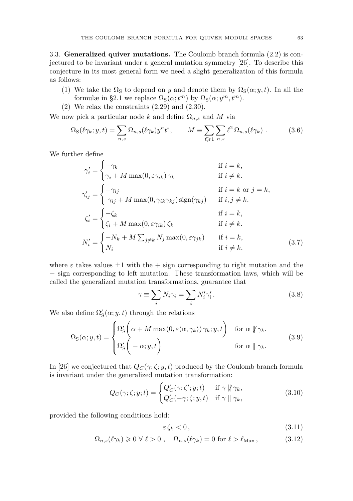<span id="page-15-0"></span>3.3. **Generalized quiver mutations.** The Coulomb branch formula [\(2.2\)](#page-5-2) is conjectured to be invariant under a general mutation symmetry [\[26\]](#page-20-19). To describe this conjecture in its most general form we need a slight generalization of this formula as follows:

- (1) We take the  $\Omega_{\rm S}$  to depend on *y* and denote them by  $\Omega_{\rm S}(\alpha; y, t)$ . In all the formulæ in [§2.1](#page-5-0) we replace  $\Omega_{\rm S}(\alpha; t^m)$  by  $\Omega_{\rm S}(\alpha; y^m, t^m)$ .
- (2) We relax the constraints [\(2.29\)](#page-10-2) and [\(2.30\)](#page-10-1).

We now pick a particular node *k* and define  $\Omega_{n,s}$  and *M* via

$$
\Omega_{\rm S}(\ell \gamma_k; y, t) = \sum_{n,s} \Omega_{n,s}(\ell \gamma_k) y^n t^s, \qquad M \equiv \sum_{\ell \geq 1} \sum_{n,s} \ell^2 \Omega_{n,s}(\ell \gamma_k) . \tag{3.6}
$$

We further define

$$
\gamma'_{i} = \begin{cases}\n-\gamma_{k} & \text{if } i = k, \\
\gamma_{i} + M \max(0, \varepsilon \gamma_{ik}) \gamma_{k} & \text{if } i \neq k.\n\end{cases}
$$
\n
$$
\gamma'_{ij} = \begin{cases}\n-\gamma_{ij} & \text{if } i = k \text{ or } j = k, \\
\gamma_{ij} + M \max(0, \gamma_{ik} \gamma_{kj}) \operatorname{sign}(\gamma_{kj}) & \text{if } i, j \neq k.\n\end{cases}
$$
\n
$$
\zeta'_{i} = \begin{cases}\n-\zeta_{k} & \text{if } i = k, \\
\zeta_{i} + M \max(0, \varepsilon \gamma_{ik}) \zeta_{k} & \text{if } i \neq k.\n\end{cases}
$$
\n
$$
N'_{i} = \begin{cases}\n-N_{k} + M \sum_{j \neq k} N_{j} \max(0, \varepsilon \gamma_{jk}) & \text{if } i = k, \\
N_{i} & \text{if } i \neq k.\n\end{cases}
$$
\n(3.7)

where  $\varepsilon$  takes values  $\pm 1$  with the  $+$  sign corresponding to right mutation and the − sign corresponding to left mutation. These transformation laws, which will be called the generalized mutation transformations, guarantee that

$$
\gamma \equiv \sum_{i} N_i \gamma_i = \sum_{i} N'_i \gamma'_i.
$$
 (3.8)

We also define  $\Omega'_{\mathcal{S}}(\alpha; y, t)$  through the relations

<span id="page-15-2"></span>
$$
\Omega_{\rm S}(\alpha; y, t) = \begin{cases} \Omega'_{\rm S} \left( \alpha + M \max(0, \varepsilon \langle \alpha, \gamma_k \rangle) \gamma_k; y, t \right) & \text{for } \alpha \notin \gamma_k, \\ \Omega'_{\rm S} \left( -\alpha; y, t \right) & \text{for } \alpha \parallel \gamma_k. \end{cases} \tag{3.9}
$$

In [\[26\]](#page-20-19) we conjectured that  $Q_C(\gamma;\zeta;y,t)$  produced by the Coulomb branch formula is invariant under the generalized mutation transformation:

<span id="page-15-1"></span>
$$
Q_C(\gamma; \zeta; y; t) = \begin{cases} Q'_C(\gamma; \zeta'; y; t) & \text{if } \gamma \nparallel \gamma_k, \\ Q'_C(-\gamma; \zeta; y, t) & \text{if } \gamma \parallel \gamma_k, \end{cases}
$$
(3.10)

provided the following conditions hold:

$$
\varepsilon \zeta_k < 0 \tag{3.11}
$$

$$
\Omega_{n,s}(\ell \gamma_k) \geq 0 \,\forall \,\ell > 0 \;, \quad \Omega_{n,s}(\ell \gamma_k) = 0 \text{ for } \ell > \ell_{\text{Max}} \,, \tag{3.12}
$$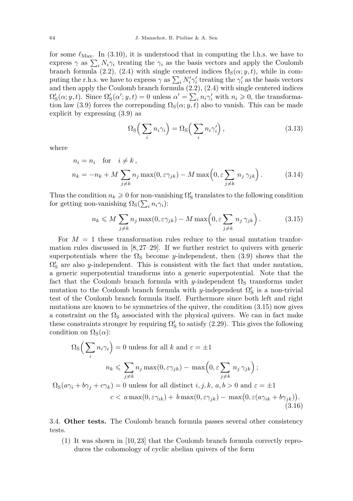for some  $\ell_{\text{Max}}$ . In [\(3.10\)](#page-15-1), it is understood that in computing the l.h.s. we have to express  $\gamma$  as  $\sum_i N_i \gamma_i$  treating the  $\gamma_i$  as the basis vectors and apply the Coulomb branch formula [\(2.2\)](#page-5-2), [\(2.4\)](#page-5-3) with single centered indices  $\Omega_{\rm S}(\alpha; y, t)$ , while in computing the r.h.s. we have to express  $\gamma$  as  $\sum_i N'_i \gamma'_i$  treating the  $\gamma'_i$  as the basis vectors and then apply the Coulomb branch formula [\(2.2\)](#page-5-2), [\(2.4\)](#page-5-3) with single centered indices  $\Omega'_{\rm S}(\alpha; y, t)$ . Since  $\Omega'_{\rm S}(\alpha'; y, t) = 0$  unless  $\alpha' = \sum_i n_i \gamma'_i$  with  $n_i \geqslant 0$ , the transforma-tion law [\(3.9\)](#page-15-2) forces the correponding  $\Omega_{\rm S}(\alpha; y, t)$  also to vanish. This can be made explicit by expressing [\(3.9\)](#page-15-2) as

$$
\Omega_{\rm S}\Big(\sum_i n_i \gamma_i\Big) = \Omega_{\rm S}\Big(\sum_i n_i \gamma_i'\Big)\,,\tag{3.13}
$$

where

$$
n_i = n_i \quad \text{for} \quad i \neq k,
$$
  
\n
$$
n_k = -n_k + M \sum_{j \neq k} n_j \max(0, \varepsilon \gamma_{jk}) - M \max\left(0, \varepsilon \sum_{j \neq k} n_j \gamma_{jk}\right).
$$
 (3.14)

Thus the condition  $n_k \geqslant 0$  for non-vanishing  $\Omega'_{\rm S}$  translates to the following condition for getting non-vanishing  $\Omega_{\rm S}(\sum_i n_i \gamma_i)$ :

<span id="page-16-2"></span>
$$
n_k \leqslant M \sum_{j \neq k} n_j \max(0, \varepsilon \gamma_{jk}) - M \max\left(0, \varepsilon \sum_{j \neq k} n_j \gamma_{jk}\right). \tag{3.15}
$$

For  $M = 1$  these transformation rules reduce to the usual mutation tranformation rules discussed in [\[8,](#page-20-6) [27–](#page-20-20)[29\]](#page-20-21). If we further restrict to quivers with generic superpotentials where the  $\Omega_{\rm S}$  become *y*-independent, then [\(3.9\)](#page-15-2) shows that the  $\Omega'_{\rm S}$  are also *y*-independent. This is consistent with the fact that under mutation, a generic superpotential transforms into a generic superpotential. Note that the fact that the Coulomb branch formula with *y*-independent  $\Omega_{\rm S}$  transforms under mutation to the Coulomb branch formula with *y*-independent  $\Omega'_{\mathcal{S}}$  is a non-trivial test of the Coulomb branch formula itself. Furthermore since both left and right mutations are known to be symmetries of the quiver, the condition [\(3.15\)](#page-16-2) now gives a constraint on the  $\Omega_{\rm S}$  associated with the physical quivers. We can in fact make these constraints stronger by requiring  $\Omega'_{\rm S}$  to satisfy [\(2.29\)](#page-10-2). This gives the following condition on  $\Omega_{\rm S}(\alpha)$ :

$$
\Omega_{\rm S}\Big(\sum_{i} n_{i}\gamma_{i}\Big) = 0 \text{ unless for all } k \text{ and } \varepsilon = \pm 1
$$
  

$$
n_{k} \le \sum_{j \ne k} n_{j} \max(0, \varepsilon \gamma_{jk}) - \max\Big(0, \varepsilon \sum_{j \ne k} n_{j} \gamma_{jk}\Big);
$$
  

$$
\Omega_{\rm S}(a\gamma_{i} + b\gamma_{j} + c\gamma_{k}) = 0 \text{ unless for all distinct } i, j, k, a, b > 0 \text{ and } \varepsilon = \pm 1
$$
  

$$
c < a \max(0, \varepsilon \gamma_{ik}) + b \max(0, \varepsilon \gamma_{jk}) - \max\big(0, \varepsilon (a\gamma_{ik} + b\gamma_{jk})\big).
$$
  
(3.16)

<span id="page-16-0"></span>3.4. **Other tests.** The Coulomb branch formula passes several other consistency tests.

<span id="page-16-1"></span>(1) It was shown in [\[10,](#page-20-22) [23\]](#page-20-23) that the Coulomb branch formula correctly reproduces the cohomology of cyclic abelian quivers of the form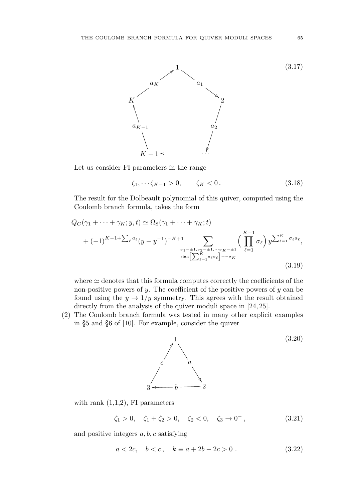

Let us consider FI parameters in the range

$$
\zeta_1, \dots, \zeta_{K-1} > 0, \qquad \zeta_K < 0. \tag{3.18}
$$

The result for the Dolbeault polynomial of this quiver, computed using the Coulomb branch formula, takes the form

$$
Q_C(\gamma_1 + \dots + \gamma_K; y, t) \simeq \Omega_S(\gamma_1 + \dots + \gamma_K; t)
$$
  
+  $(-1)^{K-1+\sum_{\ell} a_{\ell}} (y - y^{-1})^{-K+1} \sum_{\sigma_1 = \pm 1, \sigma_2 = \pm 1, \dots, \sigma_K = \pm 1 \atop \text{sign} \left[\sum_{\ell=1}^K a_{\ell} \sigma_{\ell}\right] = -\sigma_K}^{\infty} \left(\prod_{\ell=1}^{K-1} \sigma_{\ell}\right) y^{\sum_{\ell=1}^K \sigma_{\ell} a_{\ell}},$   
(3.19)

where  $\simeq$  denotes that this formula computes correctly the coefficients of the non-positive powers of *y*. The coefficient of the positive powers of *y* can be found using the  $y \to 1/y$  symmetry. This agrees with the result obtained directly from the analysis of the quiver moduli space in  $[24, 25]$  $[24, 25]$  $[24, 25]$ .

(2) The Coulomb branch formula was tested in many other explicit examples in §5 and §6 of [\[10\]](#page-20-22). For example, consider the quiver



with rank  $(1,1,2)$ , FI parameters

 $\zeta_1 > 0$ ,  $\zeta_1 + \zeta_2 > 0$ ,  $\zeta_2 < 0$ ,  $\zeta_3 \to 0^-$ , <sup>−</sup> *,* (3.21)

and positive integers *a, b, c* satisfying

$$
a < 2c, \quad b < c, \quad k \equiv a + 2b - 2c > 0. \tag{3.22}
$$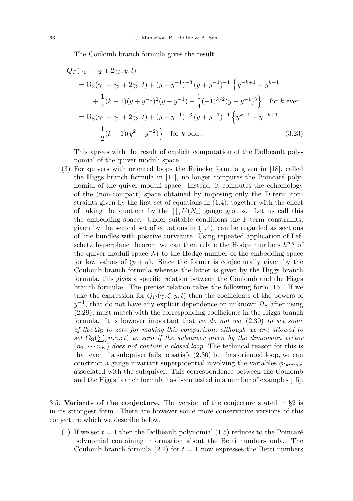The Coulomb branch formula gives the result

$$
Q_C(\gamma_1 + \gamma_2 + 2\gamma_3; y, t)
$$
  
=  $\Omega_S(\gamma_1 + \gamma_2 + 2\gamma_3; t) + (y - y^{-1})^{-3} (y + y^{-1})^{-1} \left\{ y^{-k+1} - y^{k-1} + \frac{1}{4} (k-1)(y + y^{-1})^2 (y - y^{-1}) + \frac{1}{4} (-1)^{k/2} (y - y^{-1})^3 \right\}$  for k even  
=  $\Omega_S(\gamma_1 + \gamma_2 + 2\gamma_3; t) + (y - y^{-1})^{-3} (y + y^{-1})^{-1} \left\{ y^{k-1} - y^{-k+1} - \frac{1}{2} (k-1)(y^2 - y^{-2}) \right\}$  for k odd. (3.23)

This agrees with the result of explicit computation of the Dolbeault polynomial of the quiver moduli space.

(3) For quivers with oriented loops the Reineke formula given in [\[18\]](#page-20-15), called the Higgs branch formula in [\[11\]](#page-20-8), no longer computes the Poincaré polynomial of the quiver moduli space. Instead, it computes the cohomology of the (non-compact) space obtained by imposing only the D-term constraints given by the first set of equations in [\(1.4\)](#page-2-1), together with the effect of taking the quotient by the  $\prod_i U(N_i)$  gauge groups. Let us call this the embedding space. Under suitable conditions the F-term constraints, given by the second set of equations in  $(1.4)$ , can be regarded as sections of line bundles with positive curvature. Using repeated application of Lefschetz hyperplane theorem we can then relate the Hodge numbers  $h^{p,q}$  of the quiver moduli space  $\mathcal M$  to the Hodge number of the embedding space for low values of  $(p+q)$ . Since the former is conjecturally given by the Coulomb branch formula whereas the latter is given by the Higgs branch formula, this gives a specific relation between the Coulomb and the Higgs branch formulæ. The precise relation takes the following form [\[15\]](#page-20-12). If we take the expression for  $Q_C(\gamma;\zeta; y, t)$  then the coefficients of the powers of  $y^{-1}$ , that do not have any explicit dependence on unknown  $\Omega_{\rm S}$  after using [\(2.29\)](#page-10-2), must match with the corresponding coefficients in the Higgs branch formula. It is however important that *we do not use* [\(2.30\)](#page-10-1) *to set some of the*  $\Omega$ <sub>S</sub> *to zero for making this comparison, although we are allowed to*  $\int \frac{f(x)}{f(x)}$  *set*  $\Omega$ <sub>*S*</sub>( $\sum_i n_i \gamma_i$ ; *t*) *to zero if the subquiver given by the dimension vector*  $(n_1, \dots, n_K)$  *does not contain a closed loop.* The technical reason for this is that even if a subquiver fails to satisfy [\(2.30\)](#page-10-1) but has oriented loop, we can construct a gauge invariant superpotential involving the variables  $\phi_{\ell k;\alpha;ss'}$ associated with the subquiver. This correspondence between the Coulomb and the Higgs branch formula has been tested in a number of examples [\[15\]](#page-20-12).

<span id="page-18-0"></span>3.5. **Variants of the conjecture.** The version of the conjecture stated in [§2](#page-4-0) is in its strongest form. There are however some more conservative versions of this conjecture which we describe below.

(1) If we set  $t = 1$  then the Dolbeault polynomial  $(1.5)$  reduces to the Poincaré polynomial containing information about the Betti numbers only. The Coulomb branch formula  $(2.2)$  for  $t = 1$  now expresses the Betti numbers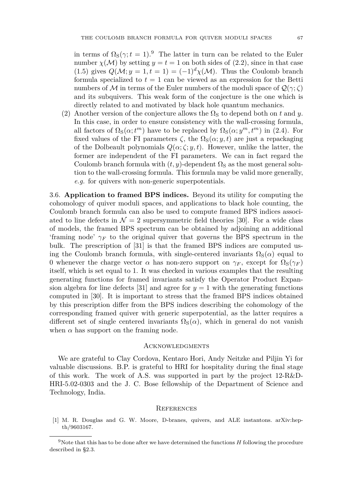in terms of  $\Omega_{\rm S}(\gamma;t=1)$ .<sup>9</sup> The latter in turn can be related to the Euler number  $\chi(\mathcal{M})$  by setting  $y = t = 1$  on both sides of [\(2.2\)](#page-5-2), since in that case [\(1.5\)](#page-3-3) gives  $Q(M; y = 1, t = 1) = (-1)^d \chi(M)$ . Thus the Coulomb branch formula specialized to  $t = 1$  can be viewed as an expression for the Betti numbers of M in terms of the Euler numbers of the moduli space of  $\mathcal{Q}(\gamma;\zeta)$ and its subquivers. This weak form of the conjecture is the one which is directly related to and motivated by black hole quantum mechanics.

(2) Another version of the conjecture allows the  $\Omega$ <sub>S</sub> to depend both on *t* and *y*. In this case, in order to ensure consistency with the wall-crossing formula, all factors of  $\Omega_{\rm S}(\alpha; t^m)$  have to be replaced by  $\Omega_{\rm S}(\alpha; y^m, t^m)$  in [\(2.4\)](#page-5-3). For fixed values of the FI parameters  $\zeta$ , the  $\Omega_{\rm S}(\alpha; y, t)$  are just a repackaging of the Dolbeault polynomials  $Q(\alpha;\zeta; y, t)$ . However, unlike the latter, the former are independent of the FI parameters. We can in fact regard the Coulomb branch formula with  $(t, y)$ -dependent  $\Omega_{\rm S}$  as the most general solution to the wall-crossing formula. This formula may be valid more generally, *e.g.* for quivers with non-generic superpotentials.

<span id="page-19-0"></span>3.6. **Application to framed BPS indices.** Beyond its utility for computing the cohomology of quiver moduli spaces, and applications to black hole counting, the Coulomb branch formula can also be used to compute framed BPS indices associated to line defects in  $\mathcal{N} = 2$  supersymmetric field theories [\[30\]](#page-20-26). For a wide class of models, the framed BPS spectrum can be obtained by adjoining an additional 'framing node'  $\gamma_F$  to the original quiver that governs the BPS spectrum in the bulk. The prescription of [\[31\]](#page-21-2) is that the framed BPS indices are computed using the Coulomb branch formula, with single-centered invariants  $\Omega_{\rm S}(\alpha)$  equal to 0 whenever the charge vector  $\alpha$  has non-zero support on  $\gamma_F$ , except for  $\Omega_S(\gamma_F)$ itself, which is set equal to 1. It was checked in various examples that the resulting generating functions for framed invariants satisfy the Operator Product Expan-sion algebra for line defects [\[31\]](#page-21-2) and agree for  $y = 1$  with the generating functions computed in [\[30\]](#page-20-26). It is important to stress that the framed BPS indices obtained by this prescription differ from the BPS indices describing the cohomology of the corresponding framed quiver with generic superpotential, as the latter requires a different set of single centered invariants  $\Omega_{\rm S}(\alpha)$ , which in general do not vanish when  $\alpha$  has support on the framing node.

#### <span id="page-19-1"></span>**ACKNOWLEDGMENTS**

We are grateful to Clay Cordova, Kentaro Hori, Andy Neitzke and Piljin Yi for valuable discussions. B.P. is grateful to HRI for hospitality during the final stage of this work. The work of A.S. was supported in part by the project 12-R&D-HRI-5.02-0303 and the J. C. Bose fellowship of the Department of Science and Technology, India.

#### <span id="page-19-2"></span>**REFERENCES**

<span id="page-19-3"></span>[1] M. R. Douglas and G. W. Moore, D-branes, quivers, and ALE instantons. [arXiv:hep](http://www.arXiv.org/abs/hep-th/9603167)[th/9603167.](http://www.arXiv.org/abs/hep-th/9603167)

<sup>9</sup>Note that this has to be done after we have determined the functions *H* following the procedure described in [§2.3.](#page-9-0)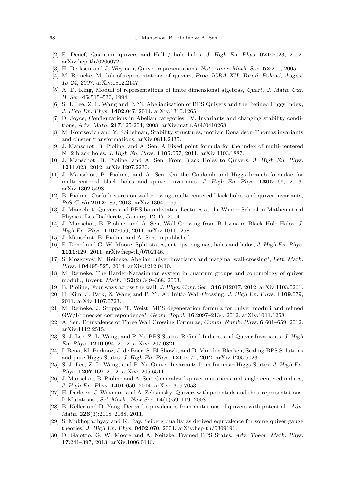- <span id="page-20-0"></span>[2] F. Denef, Quantum quivers and Hall / hole halos, J. High En. Phys. **0210**:023, 2002. [arXiv:hep-th/0206072.](http://www.arXiv.org/abs/hep-th/0206072)
- <span id="page-20-1"></span>[3] H. Derksen and J. Weyman, Quiver representations, Not. Amer. Math. Soc. **52**:200, 2005.
- <span id="page-20-2"></span>[4] M. Reineke, Moduli of representations of quivers, Proc. ICRA XII, Toruń, Poland, August 15–24, 2007. [arXiv:0802.2147.](http://www.arXiv.org/abs/0802.2147)
- <span id="page-20-3"></span>[5] A. D. King, Moduli of representations of finite dimensional algebras, Quart. J. Math. Oxf. II. Ser. **45**:515–530, 1994.
- <span id="page-20-4"></span>[6] S. J. Lee, Z. L. Wang and P. Yi, Abelianization of BPS Quivers and the Refined Higgs Index, J. High En. Phys. **1402**:047, 2014. [arXiv:1310.1265.](http://www.arXiv.org/abs/1310.1265)
- <span id="page-20-5"></span>[7] D. Joyce, Configurations in Abelian categories. IV. Invariants and changing stability conditions, Adv. Math. **217**:125-204, 2008. [arXiv:math.AG/0410268.](http://arxiv.org/abs/math/0410268)
- <span id="page-20-6"></span>[8] M. Kontsevich and Y. Soibelman, Stability structures, motivic Donaldson-Thomas invariants and cluster transformations. [arXiv:0811.2435.](http://arxiv.org/abs/0811.2435)
- <span id="page-20-7"></span>[9] J. Manschot, B. Pioline, and A. Sen, A Fixed point formula for the index of multi-centered N=2 black holes, J. High En. Phys. **1105**:057, 2011. [arXiv:1103.1887.](http://www.arXiv.org/abs/1103.1887)
- <span id="page-20-22"></span>[10] J. Manschot, B. Pioline, and A. Sen, From Black Holes to Quivers, J. High En. Phys. **1211**:023, 2012. [arXiv:1207.2230.](http://www.arXiv.org/abs/1207.2230)
- <span id="page-20-8"></span>[11] J. Manschot, B. Pioline, and A. Sen, On the Coulomb and Higgs branch formulae for multi-centered black holes and quiver invariants, J. High En. Phys. **1305**:166, 2013. [arXiv:1302.5498.](http://www.arXiv.org/abs/1302.5498)
- <span id="page-20-9"></span>[12] B. Pioline, Corfu lectures on wall-crossing, multi-centered black holes, and quiver invariants, PoS Corfu **2012**:085, 2013. [arXiv:1304.7159.](http://www.arXiv.org/abs/1304.7159)
- <span id="page-20-10"></span>[13] J. Manschot, Quivers and BPS bound states, Lectures at the Winter School in Mathematical Physics, Les Diablerets, January 12–17, 2014.
- <span id="page-20-11"></span>[14] J. Manschot, B. Pioline, and A. Sen, Wall Crossing from Boltzmann Black Hole Halos, J. High En. Phys. **1107**:059, 2011. [arXiv:1011.1258.](http://www.arXiv.org/abs/1011.1258)
- <span id="page-20-12"></span>[15] J. Manschot, B. Pioline and A. Sen, unpublished.
- <span id="page-20-13"></span>[16] F. Denef and G. W. Moore, Split states, entropy enigmas, holes and halos, J. High En. Phys. **1111**:129, 2011. [arXiv:hep-th/0702146.](http://www.arXiv.org/abs/hep-th/0702146)
- <span id="page-20-14"></span>[17] S. Mozgovoy, M. Reineke, Abelian quiver invariants and marginal wall-crossing", Lett. Math. Phys. **104**495-525, 2014. [arXiv:1212.0410.](http://www.arXiv.org/abs/1212.0410)
- <span id="page-20-15"></span>[18] M. Reineke, The Harder-Narasimhan system in quantum groups and cohomology of quiver moduli., Invent. Math. **152**(2):349–368, 2003.
- <span id="page-20-16"></span>[19] B. Pioline, Four ways across the wall, J. Phys. Conf. Ser. **346**:012017, 2012. [arXiv:1103.0261.](http://www.arXiv.org/abs/1103.0261)
- [20] H. Kim, J. Park, Z. Wang and P. Yi, Ab Initio Wall-Crossing, J. High En. Phys. **1109**:079, 2011. [arXiv:1107.0723.](http://www.arXiv.org/abs/1107.0723)
- <span id="page-20-17"></span>[21] M. Reineke, J. Stoppa, T. Weist, MPS degeneration formula for quiver moduli and refined GW/Kronecker correspondence", Geom. Topol. **16**:2097–2134, 2012. [arXiv:1011.1258.](http://www.arXiv.org/abs/1110.4847)
- <span id="page-20-18"></span>[22] A. Sen, Equivalence of Three Wall Crossing Formulae, Comm. Numb. Phys. **6**:601–659, 2012. [arXiv:1112.2515.](http://www.arXiv.org/abs/1112.2515)
- <span id="page-20-23"></span>[23] S.-J. Lee, Z.-L. Wang, and P. Yi, BPS States, Refined Indices, and Quiver Invariants, J. High En. Phys. **1210**:094, 2012. [arXiv:1207.0821.](http://www.arXiv.org/abs/1207.0821)
- <span id="page-20-24"></span>[24] I. Bena, M. Berkooz, J. de Boer, S. El-Showk, and D. Van den Bleeken, Scaling BPS Solutions and pure-Higgs States, J. High En. Phys. **1211**:171, 2012. [arXiv:1205.5023.](http://www.arXiv.org/abs/1205.5023)
- <span id="page-20-25"></span>[25] S.-J. Lee, Z.-L. Wang, and P. Yi, Quiver Invariants from Intrinsic Higgs States, J. High En. Phys. **1207**:169, 2012. [arXiv:1205.6511.](http://www.arXiv.org/abs/1205.6511)
- <span id="page-20-19"></span>[26] J. Manschot, B. Pioline and A. Sen, Generalized quiver mutations and single-centered indices, J. High En. Phys. **1401**:050, 2014. [arXiv:1309.7053.](http://www.arXiv.org/abs/1309.7053)
- <span id="page-20-20"></span>[27] H. Derksen, J. Weyman, and A. Zelevinsky, Quivers with potentials and their representations. I: Mutations., Sel. Math., New Ser. **14**(1):59–119, 2008.
- [28] B. Keller and D. Yang, Derived equivalences from mutations of quivers with potential., Adv. Math. **226**(3):2118–2168, 2011.
- <span id="page-20-21"></span>[29] S. Mukhopadhyay and K. Ray, Seiberg duality as derived equivalence for some quiver gauge theories, J. High En. Phys. **0402**:070, 2004. [arXiv:hep-th/0309191.](http://www.arXiv.org/abs/hep-th/0309191)
- <span id="page-20-26"></span>[30] D. Gaiotto, G. W. Moore and A. Neitzke, Framed BPS States, Adv. Theor. Math. Phys. **17**:241–397, 2013. [arXiv:1006.0146.](http://www.arXiv.org/abs/1006.0146)